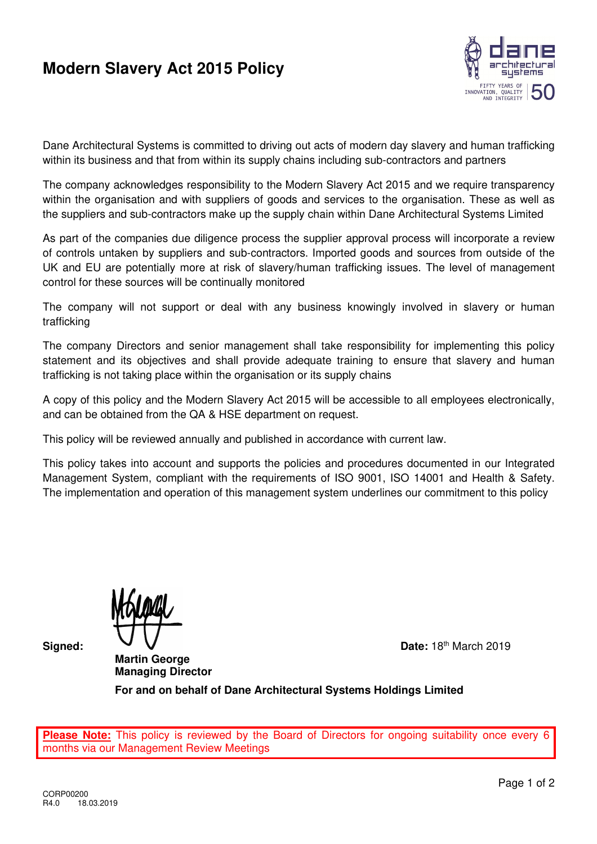## **Modern Slavery Act 2015 Policy**



Dane Architectural Systems is committed to driving out acts of modern day slavery and human trafficking within its business and that from within its supply chains including sub-contractors and partners

The company acknowledges responsibility to the Modern Slavery Act 2015 and we require transparency within the organisation and with suppliers of goods and services to the organisation. These as well as the suppliers and sub-contractors make up the supply chain within Dane Architectural Systems Limited

As part of the companies due diligence process the supplier approval process will incorporate a review of controls untaken by suppliers and sub-contractors. Imported goods and sources from outside of the UK and EU are potentially more at risk of slavery/human trafficking issues. The level of management control for these sources will be continually monitored

The company will not support or deal with any business knowingly involved in slavery or human trafficking

The company Directors and senior management shall take responsibility for implementing this policy statement and its objectives and shall provide adequate training to ensure that slavery and human trafficking is not taking place within the organisation or its supply chains

A copy of this policy and the Modern Slavery Act 2015 will be accessible to all employees electronically, and can be obtained from the QA & HSE department on request.

This policy will be reviewed annually and published in accordance with current law.

This policy takes into account and supports the policies and procedures documented in our Integrated Management System, compliant with the requirements of ISO 9001, ISO 14001 and Health & Safety. The implementation and operation of this management system underlines our commitment to this policy

**Martin George Managing Director** 

**Signed:**  $\mathbf{V}$   $\mathbf{V}$  Date: 18<sup>th</sup> March 2019

**For and on behalf of Dane Architectural Systems Holdings Limited** 

Please Note: This policy is reviewed by the Board of Directors for ongoing suitability once every months via our Management Review Meetings